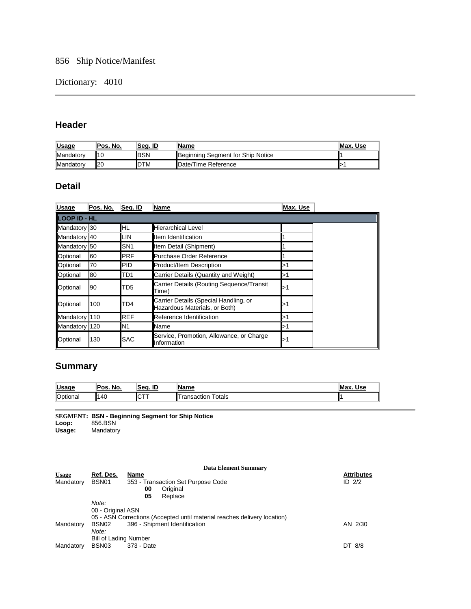# 856 Ship Notice/Manifest

## Dictionary: 4010

## **Header**

| <b>Usage</b> | 'Pos. No. | Sea. ID     | lName                             | Max. Use |
|--------------|-----------|-------------|-----------------------------------|----------|
| Mandatory    | 10        | <b>BSN</b>  | Beginning Segment for Ship Notice |          |
| Mandatory    | I20       | <b>IDTM</b> | Date/Time Reference               |          |

## **Detail**

| <b>Usage</b> | Pos. No.            | Seq. ID          | Name                                                                   | Max. Use |  |  |  |  |
|--------------|---------------------|------------------|------------------------------------------------------------------------|----------|--|--|--|--|
|              | <b>LOOP ID - HL</b> |                  |                                                                        |          |  |  |  |  |
| Mandatory 30 |                     | IHL              | <b>Hierarchical Level</b>                                              |          |  |  |  |  |
| Mandatory 40 |                     | ILIN             | Item Identification                                                    |          |  |  |  |  |
| Mandatory 50 |                     | ISN <sub>1</sub> | Item Detail (Shipment)                                                 |          |  |  |  |  |
| Optional     | 60                  | <b>PRF</b>       | Purchase Order Reference                                               |          |  |  |  |  |
| Optional     | 70                  | <b>PID</b>       | Product/Item Description                                               | l>′      |  |  |  |  |
| Optional     | 80                  | TD1              | Carrier Details (Quantity and Weight)                                  | ⊳        |  |  |  |  |
| Optional     | 90                  | TD5              | Carrier Details (Routing Sequence/Transit<br>Time)                     | ⊳1       |  |  |  |  |
| Optional     | 100                 | TD4              | Carrier Details (Special Handling, or<br>Hazardous Materials, or Both) |          |  |  |  |  |
| Mandatory    | 110                 | <b>REF</b>       | Reference Identification                                               | 1>       |  |  |  |  |
| Mandatory    | 120                 | N <sub>1</sub>   | <b>Name</b>                                                            | ⊳        |  |  |  |  |
| Optional     | 130                 | <b>SAC</b>       | Service, Promotion, Allowance, or Charge<br>Information                | 1>ב      |  |  |  |  |

# **Summary**

| <b>Usage</b> | Pos<br>No. | ID<br>'Sea. | Name                                | M.<br>Use |
|--------------|------------|-------------|-------------------------------------|-----------|
| Optional     | 140<br>. . | IC.         | <sup>-</sup> otals<br>nsaction<br>a | ll1       |

**SEGMENT: BSN - Beginning Segment for Ship Notice Loop:** 856.BSN

**Usage:** Mandatory

|              |                       |            | Data Element Summary                                                     |                   |
|--------------|-----------------------|------------|--------------------------------------------------------------------------|-------------------|
| <b>Usage</b> | Ref. Des.             | Name       |                                                                          | <b>Attributes</b> |
| Mandatory    | BSN01                 |            | 353 - Transaction Set Purpose Code                                       | ID $2/2$          |
|              |                       | 00         | Original                                                                 |                   |
|              |                       | 05         | Replace                                                                  |                   |
|              | Note:                 |            |                                                                          |                   |
|              | 00 - Original ASN     |            |                                                                          |                   |
|              |                       |            | 05 - ASN Corrections (Accepted until material reaches delivery location) |                   |
| Mandatory    | BSN <sub>02</sub>     |            | 396 - Shipment Identification                                            | AN 2/30           |
|              | Note:                 |            |                                                                          |                   |
|              | Bill of Lading Number |            |                                                                          |                   |
| Mandatory    | BSN <sub>03</sub>     | 373 - Date |                                                                          | DT 8/8            |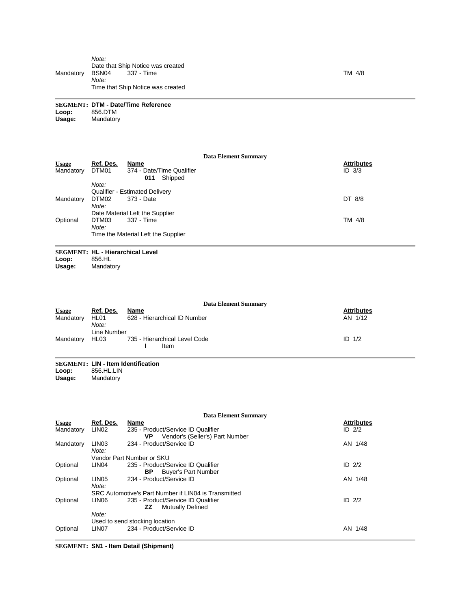**SEGMENT: DTM - Date/Time Reference Loop:** 856.DTM **Usage:** Mandatory

|              |           |                                             | <b>Data Element Summary</b> |                   |
|--------------|-----------|---------------------------------------------|-----------------------------|-------------------|
| <b>Usage</b> | Ref. Des. | Name                                        |                             | <b>Attributes</b> |
| Mandatory    | DTM01     | 374 - Date/Time Qualifier<br>Shipped<br>011 |                             | $ID$ $3/3$        |
|              | Note:     |                                             |                             |                   |
|              |           | <b>Qualifier - Estimated Delivery</b>       |                             |                   |
| Mandatory    | DTM02     | 373 - Date                                  |                             | DT 8/8            |
|              | Note:     |                                             |                             |                   |
|              |           | Date Material Left the Supplier             |                             |                   |
| Optional     | DTM03     | 337 - Time                                  |                             | TM 4/8            |
|              | Note:     |                                             |                             |                   |
|              |           | Time the Material Left the Supplier         |                             |                   |

### **SEGMENT: HL - Hierarchical Level**

**Loop:** 856.HL

**Usage:** Mandatory

|              |               | <b>Data Element Summary</b>           |                   |
|--------------|---------------|---------------------------------------|-------------------|
| <b>Usage</b> | Ref. Des.     | Name                                  | <b>Attributes</b> |
| Mandatory    | HL01<br>Note: | 628 - Hierarchical ID Number          | AN 1/12           |
|              | Line Number   |                                       |                   |
| Mandatory    | HL03          | 735 - Hierarchical Level Code<br>Item | ID $1/2$          |

# **SEGMENT: LIN - Item Identification**

**Loop:** 856.HL.LIN

**Usage:** Mandatory

|              |                   | <b>Data Element Summary</b>                          |                   |
|--------------|-------------------|------------------------------------------------------|-------------------|
| <b>Usage</b> | Ref. Des.         | Name                                                 | <b>Attributes</b> |
| Mandatory    | LIN <sub>02</sub> | 235 - Product/Service ID Qualifier                   | ID $2/2$          |
|              |                   | VP<br>Vendor's (Seller's) Part Number                |                   |
| Mandatory    | LIN <sub>03</sub> | 234 - Product/Service ID                             | AN 1/48           |
|              | Note:             |                                                      |                   |
|              |                   | Vendor Part Number or SKU                            |                   |
| Optional     | LIN <sub>04</sub> | 235 - Product/Service ID Qualifier                   | ID $2/2$          |
|              |                   | ΒP<br><b>Buyer's Part Number</b>                     |                   |
| Optional     | LIN <sub>05</sub> | 234 - Product/Service ID                             | AN 1/48           |
|              | Note:             |                                                      |                   |
|              |                   | SRC Automotive's Part Number if LIN04 is Transmitted |                   |
| Optional     | LIN <sub>06</sub> | 235 - Product/Service ID Qualifier                   | $ID$ $2/2$        |
|              |                   | ZZ<br><b>Mutually Defined</b>                        |                   |
|              | Note:             |                                                      |                   |
|              |                   | Used to send stocking location                       |                   |
| Optional     | LIN <sub>07</sub> | 234 - Product/Service ID                             | AN<br>1/48        |

**SEGMENT: SN1 - Item Detail (Shipment)**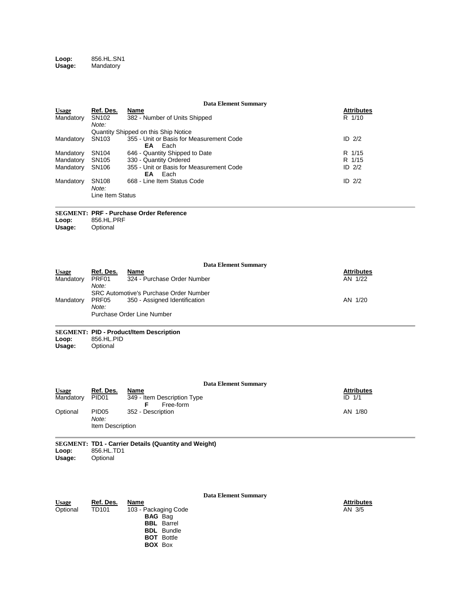#### **Loop:** 856.HL.SN1 **Usage:** Mandatory

|                                     |                                                |                                                                                                                                  | <b>Data Element Summary</b> |                                |
|-------------------------------------|------------------------------------------------|----------------------------------------------------------------------------------------------------------------------------------|-----------------------------|--------------------------------|
| <b>Usage</b><br>Mandatory           | Ref. Des.<br>SN <sub>102</sub>                 | Name<br>382 - Number of Units Shipped                                                                                            |                             | <b>Attributes</b><br>R 1/10    |
| Mandatory                           | Note:<br>SN103                                 | Quantity Shipped on this Ship Notice<br>355 - Unit or Basis for Measurement Code                                                 |                             | ID $2/2$                       |
| Mandatory<br>Mandatory<br>Mandatory | SN <sub>104</sub><br>SN105<br>SN106            | EA<br>Each<br>646 - Quantity Shipped to Date<br>330 - Quantity Ordered<br>355 - Unit or Basis for Measurement Code<br>EA<br>Each |                             | R 1/15<br>R 1/15<br>$ID$ $2/2$ |
| Mandatory                           | SN <sub>108</sub><br>Note:<br>Line Item Status | 668 - Line Item Status Code                                                                                                      |                             | $ID$ $2/2$                     |
| Loop:<br>Usage:                     | 856.HL.PRF<br>Optional                         | <b>SEGMENT: PRF - Purchase Order Reference</b>                                                                                   |                             |                                |
|                                     |                                                |                                                                                                                                  | <b>Data Element Summary</b> |                                |
| <b>Usage</b><br>Mandatory           | Ref. Des.<br>PRF01<br>Note:                    | Name<br>324 - Purchase Order Number                                                                                              |                             | <u>Attributes</u><br>AN 1/22   |
| Mandatory                           | PRF05<br>Note:                                 | <b>SRC Automotive's Purchase Order Number</b><br>350 - Assigned Identification<br>Purchase Order Line Number                     |                             | AN 1/20                        |
| Loop:<br>Usage:                     | 856.HL.PID<br>Optional                         | <b>SEGMENT: PID - Product/Item Description</b>                                                                                   |                             |                                |
|                                     |                                                |                                                                                                                                  | <b>Data Element Summary</b> |                                |
| <b>Usage</b><br>Mandatory           | Ref. Des.<br>PID <sub>01</sub>                 | Name<br>349 - Item Description Type<br>Free-form<br>F                                                                            |                             | <b>Attributes</b><br>ID 1/1    |
| Optional                            | <b>PID05</b><br>Note:<br>Item Description      | 352 - Description                                                                                                                |                             | AN 1/80                        |
| Loop:<br>Usage:                     | 856.HL.TD1<br>Optional                         | SEGMENT: TD1 - Carrier Details (Quantity and Weight)                                                                             |                             |                                |
|                                     |                                                |                                                                                                                                  | <b>Data Element Summary</b> |                                |
| <b>Usage</b><br>Optional            | Ref. Des.<br><b>TD101</b>                      | Name<br>103 - Packaging Code<br><b>BAG</b> Bag<br><b>BBL</b> Barrel                                                              |                             | <b>Attributes</b><br>AN 3/5    |

**BDL** Bundle **BOT** Bottle **BOX** Box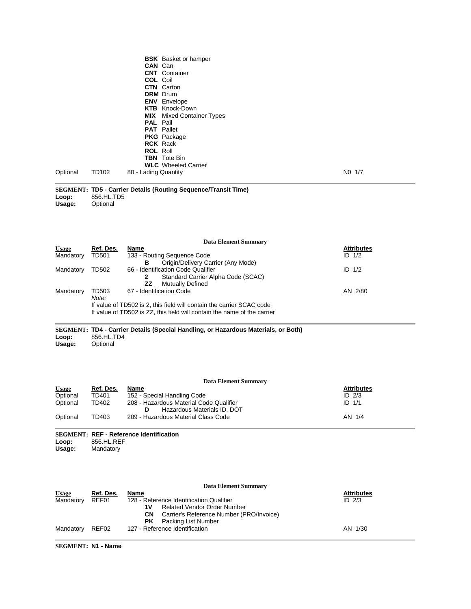| Optional                               | TD102                       | <b>BSK</b> Basket or hamper<br><b>CAN</b> Can<br><b>CNT</b> Container<br><b>COL</b> Coil<br><b>CTN</b> Carton<br><b>DRM</b> Drum<br><b>ENV</b> Envelope<br><b>KTB</b> Knock-Down<br><b>MIX</b> Mixed Container Types<br>PAL Pail<br>PAT Pallet<br><b>PKG</b> Package<br><b>RCK</b> Rack<br><b>ROL Roll</b><br><b>TBN</b> Tote Bin<br><b>WLC</b> Wheeled Carrier<br>80 - Lading Quantity | NO 1/7                                   |
|----------------------------------------|-----------------------------|-----------------------------------------------------------------------------------------------------------------------------------------------------------------------------------------------------------------------------------------------------------------------------------------------------------------------------------------------------------------------------------------|------------------------------------------|
| Loop:<br>Usage:                        | 856.HL.TD5<br>Optional      | <b>SEGMENT: TD5 - Carrier Details (Routing Sequence/Transit Time)</b>                                                                                                                                                                                                                                                                                                                   |                                          |
|                                        |                             | <b>Data Element Summary</b>                                                                                                                                                                                                                                                                                                                                                             |                                          |
| <b>Usage</b><br>Mandatory              | <u>Ref. Des.</u><br>TD501   | <u>Name</u><br>133 - Routing Sequence Code                                                                                                                                                                                                                                                                                                                                              | <u>Attributes</u><br>$ID$ $1/2$          |
| Mandatory                              | TD502                       | Origin/Delivery Carrier (Any Mode)<br>в<br>66 - Identification Code Qualifier<br>Standard Carrier Alpha Code (SCAC)<br>2<br>ZZ                                                                                                                                                                                                                                                          | ID $1/2$                                 |
| Mandatory                              | TD503<br>Note:              | <b>Mutually Defined</b><br>67 - Identification Code<br>If value of TD502 is 2, this field will contain the carrier SCAC code<br>If value of TD502 is ZZ, this field will contain the name of the carrier                                                                                                                                                                                | AN 2/80                                  |
| Loop:<br>Usage:                        | 856.HL.TD4<br>Optional      | <b>SEGMENT: TD4 - Carrier Details (Special Handling, or Hazardous Materials, or Both)</b>                                                                                                                                                                                                                                                                                               |                                          |
|                                        |                             | <b>Data Element Summary</b>                                                                                                                                                                                                                                                                                                                                                             |                                          |
| Usage<br>Optional                      | Ref. Des.<br>TD401          | <u>Name</u><br>152 - Special Handling Code                                                                                                                                                                                                                                                                                                                                              | Attributes<br>ID 2/3                     |
| Optional<br>Optional                   | TD402<br>TD403              | 208 - Hazardous Material Code Qualifier<br>Hazardous Materials ID, DOT<br>D<br>209 - Hazardous Material Class Code                                                                                                                                                                                                                                                                      | $ID$ $1/1$<br>AN 1/4                     |
| Loop:<br>Usage:                        | 856.HL.REF<br>Mandatory     | <b>SEGMENT: REF - Reference Identification</b>                                                                                                                                                                                                                                                                                                                                          |                                          |
| <b>Usage</b><br>Mandatory<br>Mandatory | Ref. Des.<br>REF01<br>REF02 | <b>Data Element Summary</b><br>Name<br>128 - Reference Identification Qualifier<br><b>Related Vendor Order Number</b><br>1۷<br><b>CN</b><br>Carrier's Reference Number (PRO/Invoice)<br>PK.<br>Packing List Number<br>127 - Reference Identification                                                                                                                                    | <b>Attributes</b><br>ID $2/3$<br>AN 1/30 |
|                                        |                             |                                                                                                                                                                                                                                                                                                                                                                                         |                                          |